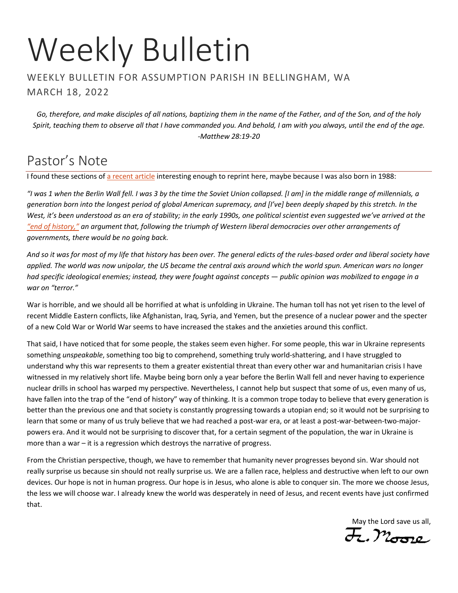# Weekly Bulletin

#### WEEKLY BULLETIN FOR ASSUMPTION PARISH IN BELLINGHAM, WA MARCH 18, 2022

*Go, therefore, and make disciples of all nations, baptizing them in the name of the Father, and of the Son, and of the holy Spirit, teaching them to observe all that I have commanded you. And behold, I am with you always, until the end of the age. -Matthew 28:19-20*

# Pastor's Note

I found these sections of [a recent article](https://www.buzzfeednews.com/article/elaminabdelmahmoud/vibe-shift-war-in-ukraine) interesting enough to reprint here, maybe because I was also born in 1988:

*"I was 1 when the Berlin Wall fell. I was 3 by the time the Soviet Union collapsed. [I am] in the middle range of millennials, a generation born into the longest period of global American supremacy, and [I've] been deeply shaped by this stretch. In the West, it's been understood as an era of stability; in the early 1990s, one political scientist even suggested we've arrived at the ["end of history,"](https://www.theguardian.com/books/2014/mar/21/bring-back-ideology-fukuyama-end-history-25-years-on) an argument that, following the triumph of Western liberal democracies over other arrangements of governments, there would be no going back.*

*And so it was for most of my life that history has been over. The general edicts of the rules-based order and liberal society have applied. The world was now unipolar, the US became the central axis around which the world spun. American wars no longer had specific ideological enemies; instead, they were fought against concepts — public opinion was mobilized to engage in a war on "terror."*

War is horrible, and we should all be horrified at what is unfolding in Ukraine. The human toll has not yet risen to the level of recent Middle Eastern conflicts, like Afghanistan, Iraq, Syria, and Yemen, but the presence of a nuclear power and the specter of a new Cold War or World War seems to have increased the stakes and the anxieties around this conflict.

That said, I have noticed that for some people, the stakes seem even higher. For some people, this war in Ukraine represents something *unspeakable*, something too big to comprehend, something truly world-shattering, and I have struggled to understand why this war represents to them a greater existential threat than every other war and humanitarian crisis I have witnessed in my relatively short life. Maybe being born only a year before the Berlin Wall fell and never having to experience nuclear drills in school has warped my perspective. Nevertheless, I cannot help but suspect that some of us, even many of us, have fallen into the trap of the "end of history" way of thinking. It is a common trope today to believe that every generation is better than the previous one and that society is constantly progressing towards a utopian end; so it would not be surprising to learn that some or many of us truly believe that we had reached a post-war era, or at least a post-war-between-two-majorpowers era. And it would not be surprising to discover that, for a certain segment of the population, the war in Ukraine is more than a war – it is a regression which destroys the narrative of progress.

From the Christian perspective, though, we have to remember that humanity never progresses beyond sin. War should not really surprise us because sin should not really surprise us. We are a fallen race, helpless and destructive when left to our own devices. Our hope is not in human progress. Our hope is in Jesus, who alone is able to conquer sin. The more we choose Jesus, the less we will choose war. I already knew the world was desperately in need of Jesus, and recent events have just confirmed that.

May the Lord save us all,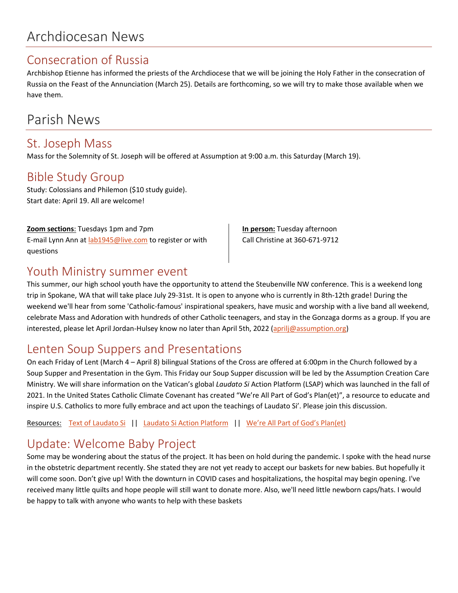# Archdiocesan News

### Consecration of Russia

Archbishop Etienne has informed the priests of the Archdiocese that we will be joining the Holy Father in the consecration of Russia on the Feast of the Annunciation (March 25). Details are forthcoming, so we will try to make those available when we have them.

# Parish News

### St. Joseph Mass

Mass for the Solemnity of St. Joseph will be offered at Assumption at 9:00 a.m. this Saturday (March 19).

### Bible Study Group

Study: Colossians and Philemon (\$10 study guide). Start date: April 19. All are welcome!

#### **Zoom sections**: Tuesdays 1pm and 7pm

E-mail Lynn Ann at [lab1945@live.com](mailto:lab1945@live.com) to register or with questions

**In person:** Tuesday afternoon Call Christine at 360-671-9712

### Youth Ministry summer event

This summer, our high school youth have the opportunity to attend the Steubenville NW conference. This is a weekend long trip in Spokane, WA that will take place July 29-31st. It is open to anyone who is currently in 8th-12th grade! During the weekend we'll hear from some 'Catholic-famous' inspirational speakers, have music and worship with a live band all weekend, celebrate Mass and Adoration with hundreds of other Catholic teenagers, and stay in the Gonzaga dorms as a group. If you are interested, please let April Jordan-Hulsey know no later than April 5th, 2022 [\(aprilj@assumption.org\)](mailto:aprilj@assumption.org)

### Lenten Soup Suppers and Presentations

On each Friday of Lent (March 4 – April 8) bilingual Stations of the Cross are offered at 6:00pm in the Church followed by a Soup Supper and Presentation in the Gym. This Friday our Soup Supper discussion will be led by the Assumption Creation Care Ministry. We will share information on the Vatican's global *Laudato Si* Action Platform (LSAP) which was launched in the fall of 2021. In the United States Catholic Climate Covenant has created "We're All Part of God's Plan(et)", a resource to educate and inspire U.S. Catholics to more fully embrace and act upon the teachings of Laudato Si'. Please join this discussion.

Resources: [Text of Laudato Si](https://www.vatican.va/content/dam/francesco/pdf/encyclicals/documents/papa-francesco_20150524_enciclica-laudato-si_en.pdf) || [Laudato Si Action Platform](https://laudatosiactionplatform.org/) || [We're All Part of God's Plan\(et\)](http://www.godsplanet.us/)

## Update: Welcome Baby Project

Some may be wondering about the status of the project. It has been on hold during the pandemic. I spoke with the head nurse in the obstetric department recently. She stated they are not yet ready to accept our baskets for new babies. But hopefully it will come soon. Don't give up! With the downturn in COVID cases and hospitalizations, the hospital may begin opening. I've received many little quilts and hope people will still want to donate more. Also, we'll need little newborn caps/hats. I would be happy to talk with anyone who wants to help with these baskets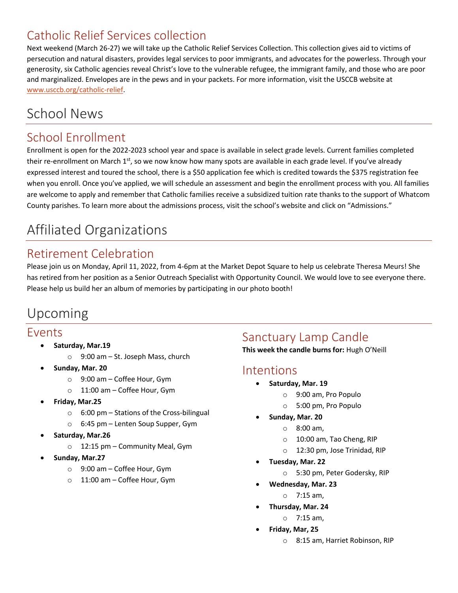## Catholic Relief Services collection

Next weekend (March 26-27) we will take up the Catholic Relief Services Collection. This collection gives aid to victims of persecution and natural disasters, provides legal services to poor immigrants, and advocates for the powerless. Through your generosity, six Catholic agencies reveal Christ's love to the vulnerable refugee, the immigrant family, and those who are poor and marginalized. Envelopes are in the pews and in your packets. For more information, visit the USCCB website at [www.usccb.org/catholic-relief.](http://www.usccb.org/catholic-relief)

# School News

## School Enrollment

Enrollment is open for the 2022-2023 school year and space is available in select grade levels. Current families completed their re-enrollment on March  $1<sup>st</sup>$ , so we now know how many spots are available in each grade level. If you've already expressed interest and toured the school, there is a \$50 application fee which is credited towards the \$375 registration fee when you enroll. Once you've applied, we will schedule an assessment and begin the enrollment process with you. All families are welcome to apply and remember that Catholic families receive a subsidized tuition rate thanks to the support of Whatcom County parishes. To learn more about the admissions process, visit the school's website and click on "Admissions."

# Affiliated Organizations

## Retirement Celebration

Please join us on Monday, April 11, 2022, from 4-6pm at the Market Depot Square to help us celebrate Theresa Meurs! She has retired from her position as a Senior Outreach Specialist with Opportunity Council. We would love to see everyone there. Please help us build her an album of memories by participating in our photo booth!

# Upcoming

### Events

- **Saturday, Mar.19**
	- o 9:00 am St. Joseph Mass, church
	- **Sunday, Mar. 20**
		- o 9:00 am Coffee Hour, Gym
		- o 11:00 am Coffee Hour, Gym
- **Friday, Mar.25**
	- $\circ$  6:00 pm Stations of the Cross-bilingual
	- o 6:45 pm Lenten Soup Supper, Gym
- **Saturday, Mar.26**
	- o 12:15 pm Community Meal, Gym
- **Sunday, Mar.27**
	- o 9:00 am Coffee Hour, Gym
	- o 11:00 am Coffee Hour, Gym

## Sanctuary Lamp Candle

**This week the candle burns for:** Hugh O'Neill

### Intentions

- **Saturday, Mar. 19**
	- o 9:00 am, Pro Populo
	- o 5:00 pm, Pro Populo
- **Sunday, Mar. 20**
	- o 8:00 am,
	- o 10:00 am, Tao Cheng, RIP
	- o 12:30 pm, Jose Trinidad, RIP
- **Tuesday, Mar. 22**
	- o 5:30 pm, Peter Godersky, RIP
- **Wednesday, Mar. 23**
	- o 7:15 am,
- **Thursday, Mar. 24**
	- o 7:15 am,
	- **Friday, Mar, 25**
		- o 8:15 am, Harriet Robinson, RIP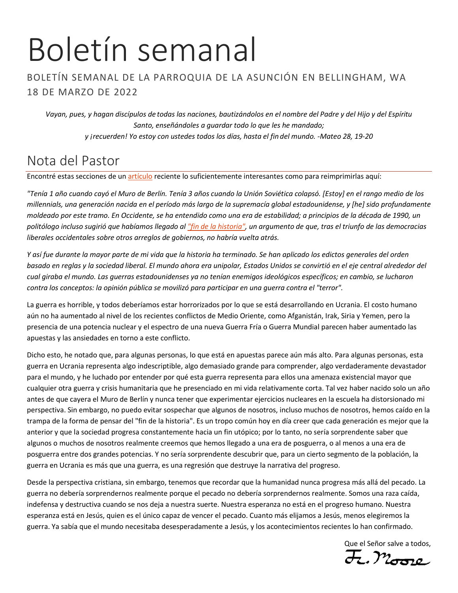# Boletín semanal

### BOLETÍN SEMANAL DE LA PARROQUIA DE LA ASUNCIÓN EN BELLINGHAM, WA 18 DE MARZO DE 2022

*Vayan, pues, y hagan discípulos de todas las naciones, bautizándolos en el nombre del Padre y del Hijo y del Espíritu Santo, enseñándoles a guardar todo lo que les he mandado; y ¡recuerden! Yo estoy con ustedes todos los días, hasta el fin del mundo. -Mateo 28, 19-20*

# Nota del Pastor

Encontré estas secciones de un [artículo](https://www.buzzfeednews.com/article/elaminabdelmahmoud/vibe-shift-war-in-ukraine) reciente lo suficientemente interesantes como para reimprimirlas aquí:

*"Tenía 1 año cuando cayó el Muro de Berlín. Tenía 3 años cuando la Unión Soviética colapsó. [Estoy] en el rango medio de los millennials, una generación nacida en el período más largo de la supremacía global estadounidense, y [he] sido profundamente moldeado por este tramo. En Occidente, se ha entendido como una era de estabilidad; a principios de la década de 1990, un politólogo incluso sugirió que habíamos llegado a[l "fin de la historia",](https://www.theguardian.com/books/2014/mar/21/bring-back-ideology-fukuyama-end-history-25-years-on) un argumento de que, tras el triunfo de las democracias liberales occidentales sobre otros arreglos de gobiernos, no habría vuelta atrás.*

*Y así fue durante la mayor parte de mi vida que la historia ha terminado. Se han aplicado los edictos generales del orden basado en reglas y la sociedad liberal. El mundo ahora era unipolar, Estados Unidos se convirtió en el eje central alrededor del cual giraba el mundo. Las guerras estadounidenses ya no tenían enemigos ideológicos específicos; en cambio, se lucharon contra los conceptos: la opinión pública se movilizó para participar en una guerra contra el "terror".*

La guerra es horrible, y todos deberíamos estar horrorizados por lo que se está desarrollando en Ucrania. El costo humano aún no ha aumentado al nivel de los recientes conflictos de Medio Oriente, como Afganistán, Irak, Siria y Yemen, pero la presencia de una potencia nuclear y el espectro de una nueva Guerra Fría o Guerra Mundial parecen haber aumentado las apuestas y las ansiedades en torno a este conflicto.

Dicho esto, he notado que, para algunas personas, lo que está en apuestas parece aún más alto. Para algunas personas, esta guerra en Ucrania representa algo indescriptible, algo demasiado grande para comprender, algo verdaderamente devastador para el mundo, y he luchado por entender por qué esta guerra representa para ellos una amenaza existencial mayor que cualquier otra guerra y crisis humanitaria que he presenciado en mi vida relativamente corta. Tal vez haber nacido solo un año antes de que cayera el Muro de Berlín y nunca tener que experimentar ejercicios nucleares en la escuela ha distorsionado mi perspectiva. Sin embargo, no puedo evitar sospechar que algunos de nosotros, incluso muchos de nosotros, hemos caído en la trampa de la forma de pensar del "fin de la historia". Es un tropo común hoy en día creer que cada generación es mejor que la anterior y que la sociedad progresa constantemente hacia un fin utópico; por lo tanto, no sería sorprendente saber que algunos o muchos de nosotros realmente creemos que hemos llegado a una era de posguerra, o al menos a una era de posguerra entre dos grandes potencias. Y no sería sorprendente descubrir que, para un cierto segmento de la población, la guerra en Ucrania es más que una guerra, es una regresión que destruye la narrativa del progreso.

Desde la perspectiva cristiana, sin embargo, tenemos que recordar que la humanidad nunca progresa más allá del pecado. La guerra no debería sorprendernos realmente porque el pecado no debería sorprendernos realmente. Somos una raza caída, indefensa y destructiva cuando se nos deja a nuestra suerte. Nuestra esperanza no está en el progreso humano. Nuestra esperanza está en Jesús, quien es el único capaz de vencer el pecado. Cuanto más elijamos a Jesús, menos elegiremos la guerra. Ya sabía que el mundo necesitaba desesperadamente a Jesús, y los acontecimientos recientes lo han confirmado.

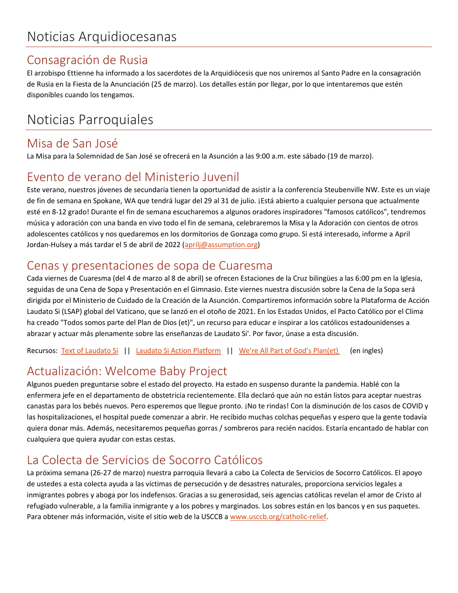## Consagración de Rusia

El arzobispo Ettienne ha informado a los sacerdotes de la Arquidiócesis que nos uniremos al Santo Padre en la consagración de Rusia en la Fiesta de la Anunciación (25 de marzo). Los detalles están por llegar, por lo que intentaremos que estén disponibles cuando los tengamos.

# Noticias Parroquiales

### Misa de San José

La Misa para la Solemnidad de San José se ofrecerá en la Asunción a las 9:00 a.m. este sábado (19 de marzo).

## Evento de verano del Ministerio Juvenil

Este verano, nuestros jóvenes de secundaria tienen la oportunidad de asistir a la conferencia Steubenville NW. Este es un viaje de fin de semana en Spokane, WA que tendrá lugar del 29 al 31 de julio. ¡Está abierto a cualquier persona que actualmente esté en 8-12 grado! Durante el fin de semana escucharemos a algunos oradores inspiradores "famosos católicos", tendremos música y adoración con una banda en vivo todo el fin de semana, celebraremos la Misa y la Adoración con cientos de otros adolescentes católicos y nos quedaremos en los dormitorios de Gonzaga como grupo. Si está interesado, informe a April Jordan-Hulsey a más tardar el 5 de abril de 2022 [\(aprilj@assumption.org\)](mailto:aprilj@assumption.org)

## Cenas y presentaciones de sopa de Cuaresma

Cada viernes de Cuaresma (del 4 de marzo al 8 de abril) se ofrecen Estaciones de la Cruz bilingües a las 6:00 pm en la Iglesia, seguidas de una Cena de Sopa y Presentación en el Gimnasio. Este viernes nuestra discusión sobre la Cena de la Sopa será dirigida por el Ministerio de Cuidado de la Creación de la Asunción. Compartiremos información sobre la Plataforma de Acción Laudato Si (LSAP) global del Vaticano, que se lanzó en el otoño de 2021. En los Estados Unidos, el Pacto Católico por el Clima ha creado "Todos somos parte del Plan de Dios (et)", un recurso para educar e inspirar a los católicos estadounidenses a abrazar y actuar más plenamente sobre las enseñanzas de Laudato Si'. Por favor, únase a esta discusión.

Recursos: [Text of Laudato Si](https://www.vatican.va/content/dam/francesco/pdf/encyclicals/documents/papa-francesco_20150524_enciclica-laudato-si_en.pdf) || [Laudato Si Action Platform](https://laudatosiactionplatform.org/) || [We're All Part of God's Plan\(et\)](http://www.godsplanet.us/) (en ingles)

# Actualización: Welcome Baby Project

Algunos pueden preguntarse sobre el estado del proyecto. Ha estado en suspenso durante la pandemia. Hablé con la enfermera jefe en el departamento de obstetricia recientemente. Ella declaró que aún no están listos para aceptar nuestras canastas para los bebés nuevos. Pero esperemos que llegue pronto. ¡No te rindas! Con la disminución de los casos de COVID y las hospitalizaciones, el hospital puede comenzar a abrir. He recibido muchas colchas pequeñas y espero que la gente todavía quiera donar más. Además, necesitaremos pequeñas gorras / sombreros para recién nacidos. Estaría encantado de hablar con cualquiera que quiera ayudar con estas cestas.

## La Colecta de Servicios de Socorro Católicos

La próxima semana (26-27 de marzo) nuestra parroquia llevará a cabo La Colecta de Servicios de Socorro Católicos. El apoyo de ustedes a esta colecta ayuda a las víctimas de persecución y de desastres naturales, proporciona servicios legales a inmigrantes pobres y aboga por los indefensos. Gracias a su generosidad, seis agencias católicas revelan el amor de Cristo al refugiado vulnerable, a la familia inmigrante y a los pobres y marginados. Los sobres están en los bancos y en sus paquetes. Para obtener más información, visite el sitio web de la USCCB [a www.usccb.org/catholic-relief.](www.usccb.org/catholic-relief)